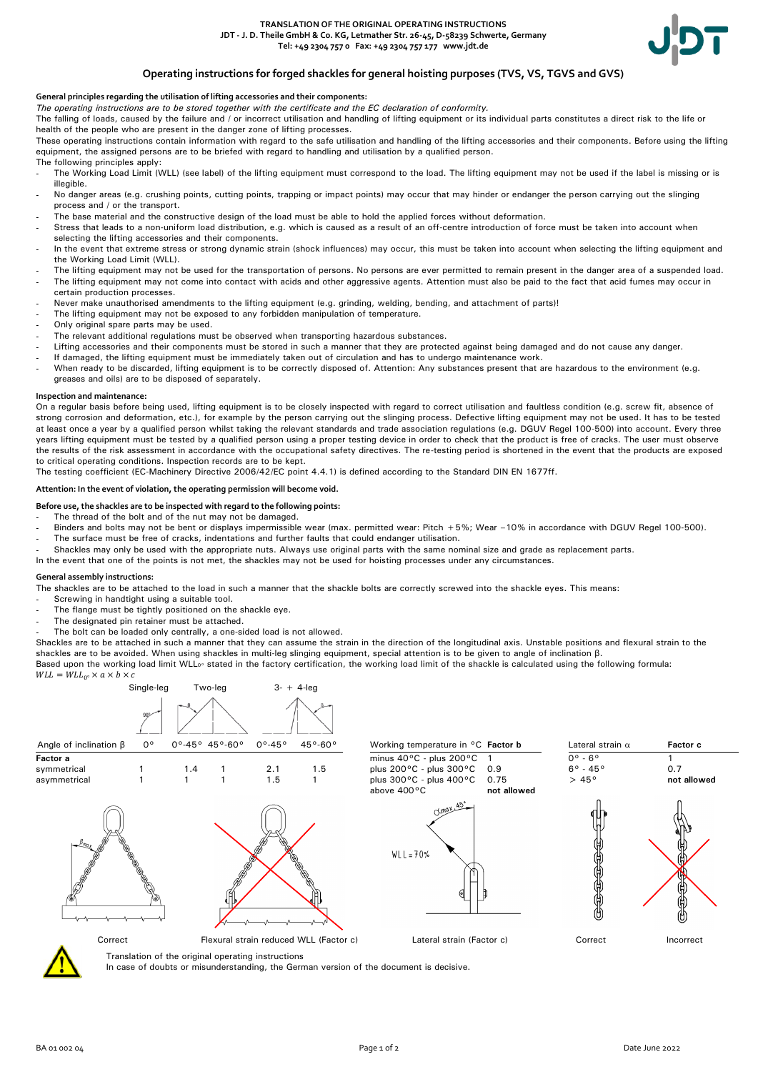

# **Operating instructions for forged shackles for general hoisting purposes (TVS, VS, TGVS and GVS)**

### **General principles regarding the utilisation of lifting accessories and their components:**

*The operating instructions are to be stored together with the certificate and the EC declaration of conformity.*

The falling of loads, caused by the failure and / or incorrect utilisation and handling of lifting equipment or its individual parts constitutes a direct risk to the life or health of the people who are present in the danger zone of lifting processes.

These operating instructions contain information with regard to the safe utilisation and handling of the lifting accessories and their components. Before using the lifting equipment, the assigned persons are to be briefed with regard to handling and utilisation by a qualified person. The following principles apply:

- The Working Load Limit (WLL) (see label) of the lifting equipment must correspond to the load. The lifting equipment may not be used if the label is missing or is illegible.
- No danger areas (e.g. crushing points, cutting points, trapping or impact points) may occur that may hinder or endanger the person carrying out the slinging process and / or the transport.
- The base material and the constructive design of the load must be able to hold the applied forces without deformation.
- Stress that leads to a non-uniform load distribution, e.g. which is caused as a result of an off-centre introduction of force must be taken into account when selecting the lifting accessories and their components.
- In the event that extreme stress or strong dynamic strain (shock influences) may occur, this must be taken into account when selecting the lifting equipment and the Working Load Limit (WLL).
- The lifting equipment may not be used for the transportation of persons. No persons are ever permitted to remain present in the danger area of a suspended load. The lifting equipment may not come into contact with acids and other aggressive agents. Attention must also be paid to the fact that acid fumes may occur in
- certain production processes.
- Never make unauthorised amendments to the lifting equipment (e.g. grinding, welding, bending, and attachment of parts)!
- The lifting equipment may not be exposed to any forbidden manipulation of temperature.
- Only original spare parts may be used.
- The relevant additional regulations must be observed when transporting hazardous substances.
- Lifting accessories and their components must be stored in such a manner that they are protected against being damaged and do not cause any danger.
- If damaged, the lifting equipment must be immediately taken out of circulation and has to undergo maintenance work.
- When ready to be discarded, lifting equipment is to be correctly disposed of. Attention: Any substances present that are hazardous to the environment (e.g. greases and oils) are to be disposed of separately.

#### **Inspection and maintenance:**

On a regular basis before being used, lifting equipment is to be closely inspected with regard to correct utilisation and faultless condition (e.g. screw fit, absence of strong corrosion and deformation, etc.), for example by the person carrying out the slinging process. Defective lifting equipment may not be used. It has to be tested at least once a year by a qualified person whilst taking the relevant standards and trade association regulations (e.g. DGUV Regel 100-500) into account. Every three years lifting equipment must be tested by a qualified person using a proper testing device in order to check that the product is free of cracks. The user must observe the results of the risk assessment in accordance with the occupational safety directives. The re-testing period is shortened in the event that the products are exposed to critical operating conditions. Inspection records are to be kept.

The testing coefficient (EC-Machinery Directive 2006/42/EC point 4.4.1) is defined according to the Standard DIN EN 1677ff.

#### **Attention: In the event of violation, the operating permission will become void.**

**Before use, the shackles are to be inspected with regard to the following points:**

- The thread of the bolt and of the nut may not be damaged.
- Binders and bolts may not be bent or displays impermissible wear (max. permitted wear: Pitch +5%; Wear –10% in accordance with DGUV Regel 100-500). The surface must be free of cracks, indentations and further faults that could endanger utilisation.
- Shackles may only be used with the appropriate nuts. Always use original parts with the same nominal size and grade as replacement parts.
- In the event that one of the points is not met, the shackles may not be used for hoisting processes under any circumstances.

## **General assembly instructions:**

The shackles are to be attached to the load in such a manner that the shackle bolts are correctly screwed into the shackle eyes. This means:

- Screwing in handtight using a suitable tool.
- The flange must be tightly positioned on the shackle eye.
- The designated pin retainer must be attached.
- The bolt can be loaded only centrally, a one-sided load is not allowed.

Shackles are to be attached in such a manner that they can assume the strain in the direction of the longitudinal axis. Unstable positions and flexural strain to the shackles are to be avoided. When using shackles in multi-leg slinging equipment, special attention is to be given to angle of inclination β.

Based upon the working load limit WLL<sub>0°</sub> stated in the factory certification, the working load limit of the shackle is calculated using the following formula:

 $WLL = WLL_{0} \times a \times b \times c$